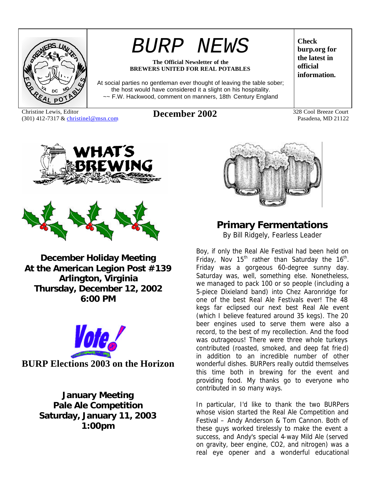

# *BURP NEWS*

#### **The Official Newsletter of the BREWERS UNITED FOR REAL POTABLES**

At social parties no gentleman ever thought of leaving the table sober; the host would have considered it a slight on his hospitality. ~~ F.W. Hackwood, comment on manners, 18th Century England

Christine Lewis, Editor Christine Lewis, Editor<br>
(301) 412-7317 & christinel@msn.com **December 2002** 328 Cool Breeze Court<br>
Pasadena, MD 21122

**Check burp.org for the latest in official information.**

Pasadena, MD 21122





**December Holiday Meeting At the American Legion Post #139 Arlington, Virginia Thursday, December 12, 2002 6:00 PM**



**January Meeting Pale Ale Competition Saturday, January 11, 2003 1:00pm**



# **Primary Fermentations**

*By Bill Ridgely, Fearless Leader*

Boy, if only the Real Ale Festival had been held on Friday, Nov 15<sup>th</sup> rather than Saturday the 16<sup>th</sup>. Friday was a gorgeous 60-degree sunny day. Saturday was, well, something else. Nonetheless, we managed to pack 100 or so people (including a 5-piece Dixieland band) into Chez Aaronridge for one of the best Real Ale Festivals ever! The 48 kegs far eclipsed our next best Real Ale event (which I believe featured around 35 kegs). The 20 beer engines used to serve them were also a record, to the best of my recollection. And the food was outrageous! There were three whole turkeys contributed (roasted, smoked, and deep fat fried) in addition to an incredible number of other wonderful dishes. BURPers really outdid themselves this time both in brewing for the event and providing food. My thanks go to everyone who contributed in so many ways.

In particular, I'd like to thank the two BURPers whose vision started the Real Ale Competition and Festival – Andy Anderson & Tom Cannon. Both of these guys worked tirelessly to make the event a success, and Andy's special 4-way Mild Ale (served on gravity, beer engine, CO2, and nitrogen) was a real eye opener and a wonderful educational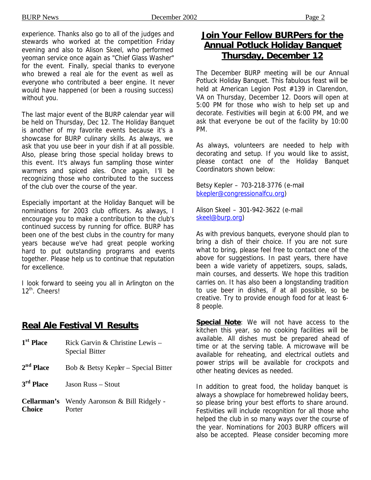experience. Thanks also go to all of the judges and stewards who worked at the competition Friday evening and also to Alison Skeel, who performed yeoman service once again as "Chief Glass Washer" for the event. Finally, special thanks to everyone who brewed a real ale for the event as well as everyone who contributed a beer engine. It never would have happened (or been a rousing success) without you.

The last major event of the BURP calendar year will be held on Thursday, Dec 12. The Holiday Banquet is another of my favorite events because it's a showcase for BURP culinary skills. As always, we ask that you use beer in your dish if at all possible. Also, please bring those special holiday brews to this event. It's always fun sampling those winter warmers and spiced ales. Once again, I'll be recognizing those who contributed to the success of the club over the course of the year.

Especially important at the Holiday Banquet will be nominations for 2003 club officers. As always, I encourage you to make a contribution to the club's continued success by running for office. BURP has been one of the best clubs in the country for many years because we've had great people working hard to put outstanding programs and events together. Please help us to continue that reputation for excellence.

I look forward to seeing you all in Arlington on the 12<sup>th</sup>. Cheers!

#### **Real Ale Festival VI Results**

1<sup>st</sup> Place Rick Garvin & Christine Lewis – Special Bitter 2<sup>nd</sup> Place Bob & Betsy Kepler – Special Bitter 3<sup>rd</sup> Place *Jason Russ – Stout* **Cellarman's** Wendy Aaronson & Bill Ridgely - **Choice** Porter

### **Join Your Fellow BURPers for the Annual Potluck Holiday Banquet Thursday, December 12**

The December BURP meeting will be our Annual Potluck Holiday Banquet. This fabulous feast will be held at American Legion Post #139 in Clarendon, VA on Thursday, December 12. Doors will open at 5:00 PM for those who wish to help set up and decorate. Festivities will begin at 6:00 PM, and we ask that everyone be out of the facility by 10:00 PM.

As always, volunteers are needed to help with decorating and setup. If you would like to assist, please contact one of the Holiday Banquet Coordinators shown below:

Betsy Kepler – 703-218-3776 (e-mail bkepler@congressionalfcu.org)

Alison Skeel – 301-942-3622 (e-mail skeel@burp.org)

As with previous banquets, everyone should plan to bring a dish of their choice. If you are not sure what to bring, please feel free to contact one of the above for suggestions. In past years, there have been a wide variety of appetizers, soups, salads, main courses, and desserts. We hope this tradition carries on. It has also been a longstanding tradition to use beer in dishes, if at all possible, so be creative. Try to provide enough food for at least 6- 8 people.

**Special Note**: We will not have access to the kitchen this year, so no cooking facilities will be available. All dishes must be prepared ahead of time or at the serving table. A microwave will be available for reheating, and electrical outlets and power strips will be available for crockpots and other heating devices as needed.

In addition to great food, the holiday banquet is always a showplace for homebrewed holiday beers, so please bring your best efforts to share around. Festivities will include recognition for all those who helped the club in so many ways over the course of the year. Nominations for 2003 BURP officers will also be accepted. Please consider becoming more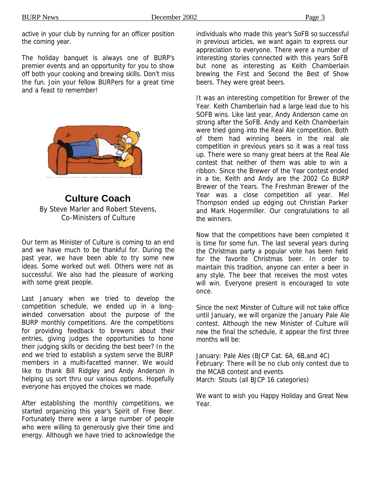active in your club by running for an officer position the coming year.

The holiday banquet is always one of BURP's premier events and an opportunity for you to show off both your cooking and brewing skills. Don't miss the fun. Join your fellow BURPers for a great time and a feast to remember!



**Culture Coach** *By Steve Marler and Robert Stevens, Co-Ministers of Culture*

Our term as Minister of Culture is coming to an end and we have much to be thankful for. During the past year, we have been able to try some new ideas. Some worked out well. Others were not as successful. We also had the pleasure of working with some great people.

Last January when we tried to develop the competition schedule, we ended up in a longwinded conversation about the purpose of the BURP monthly competitions. Are the competitions for providing feedback to brewers about their entries, giving judges the opportunities to hone their judging skills or deciding the best beer? In the end we tried to establish a system serve the BURP members in a multi-facetted manner. We would like to thank Bill Ridgley and Andy Anderson in helping us sort thru our various options. Hopefully everyone has enjoyed the choices we made.

After establishing the monthly competitions, we started organizing this year's Spirit of Free Beer. Fortunately there were a large number of people who were willing to generously give their time and energy. Although we have tried to acknowledge the individuals who made this year's SoFB so successful in previous articles, we want again to express our appreciation to everyone. There were a number of interesting stories connected with this years SoFB but none as interesting as Keith Chamberlain brewing the First and Second the Best of Show beers. They were great beers.

It was an interesting competition for Brewer of the Year. Keith Chamberlain had a large lead due to his SOFB wins. Like last year, Andy Anderson came on strong after the SoFB. Andy and Keith Chamberlain were tried going into the Real Ale competition. Both of them had winning beers in the real ale competition in previous years so it was a real toss up. There were so many great beers at the Real Ale contest that neither of them was able to win a ribbon. Since the Brewer of the Year contest ended in a tie, Keith and Andy are the 2002 Co BURP Brewer of the Years. The Freshman Brewer of the Year was a close competition all year. Mel Thompson ended up edging out Christian Parker and Mark Hogenmiller. Our congratulations to all the winners.

Now that the competitions have been completed it is time for some fun. The last several years during the Christmas party a popular vote has been held for the favorite Christmas beer. In order to maintain this tradition, anyone can enter a beer in any style. The beer that receives the most votes will win. Everyone present is encouraged to vote once.

Since the next Minster of Culture will not take office until January, we will organize the January Pale Ale contest. Although the new Minister of Culture will new the final the schedule, it appear the first three months will be:

January: Pale Ales (BJCP Cat. 6A, 6B,and 4C) February: There will be no club only contest due to the MCAB contest and events March: Stouts (all BJCP 16 categories)

We want to wish you Happy Holiday and Great New Year.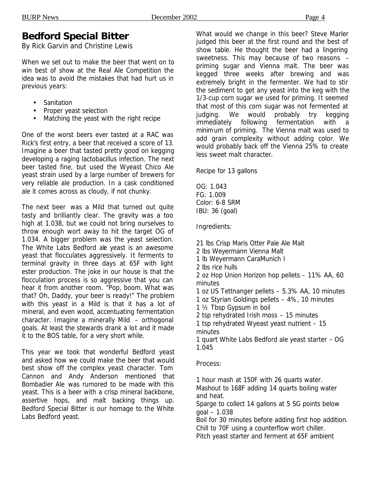## **Bedford Special Bitter**

*By Rick Garvin and Christine Lewis*

When we set out to make the beer that went on to win best of show at the Real Ale Competition the idea was to avoid the mistakes that had hurt us in previous years:

- **Sanitation**
- Proper yeast selection
- Matching the yeast with the right recipe

One of the worst beers ever tasted at a RAC was Rick's first entry, a beer that received a score of 13. Imagine a beer that tasted pretty good on kegging developing a raging lactobacillus infection. The next beer tasted fine, but used the Wyeast Chico Ale yeast strain used by a large number of brewers for very reliable ale production. In a cask conditioned ale it comes across as cloudy, if not chunky.

The next beer was a Mild that turned out quite tasty and brilliantly clear. The gravity was a too high at 1.038, but we could not bring ourselves to throw enough wort away to hit the target OG of 1.034. A bigger problem was the yeast selection. The White Labs Bedford ale yeast is an awesome yeast that flocculates aggressively. It ferments to terminal gravity in three days at 65F with light ester production. The joke in our house is that the flocculation process is so aggressive that you can hear it from another room. "Pop, boom. What was that? Oh, Daddy, your beer is ready!" The problem with this yeast in a Mild is that it has a lot of mineral, and even wood, accentuating fermentation character. Imagine a minerally Mild – orthogonal goals. At least the stewards drank a lot and it made it to the BOS table, for a very short while.

This year we took that wonderful Bedford yeast and asked how we could make the beer that would best show off the complex yeast character. Tom Cannon and Andy Anderson mentioned that Bombadier Ale was rumored to be made with this yeast. This is a beer with a crisp mineral backbone, assertive hops, and malt backing things up. Bedford Special Bitter is our homage to the White Labs Bedford yeast.

What would we change in this beer? Steve Marler judged this beer at the first round and the best of show table. He thought the beer had a lingering sweetness. This may because of two reasons – priming sugar and Vienna malt. The beer was kegged three weeks after brewing and was extremely bright in the fermenter. We had to stir the sediment to get any yeast into the keg with the 1/3-cup corn sugar we used for priming. It seemed that most of this corn sugar was not fermented at judging. We would probably try kegging immediately following fermentation with a minimum of priming. The Vienna malt was used to add grain complexity without adding color. We would probably back off the Vienna 25% to create less sweet malt character.

Recipe for 13 gallons

OG: 1.043 FG: 1.009 Color: 6-8 SRM IBU: 36 (goal)

Ingredients:

21 lbs Crisp Maris Otter Pale Ale Malt 2 lbs Weyermann Vienna Malt 1 lb Weyermann CaraMunich I 2 lbs rice hulls 2 oz Hop Union Horizon hop pellets – 11% AA, 60 minutes 1 oz US Tettnanger pellets – 5.3% AA, 10 minutes 1 oz Styrian Goldings pellets – 4%, 10 minutes 1 ½ Tbsp Gypsum in boil 2 tsp rehydrated Irish moss – 15 minutes 1 tsp rehydrated Wyeast yeast nutrient – 15 minutes 1 quart White Labs Bedford ale yeast starter – OG

1.045

Process:

1 hour mash at 150F with 26 quarts water. Mashout to 168F adding 14 quarts boiling water and heat.

Sparge to collect 14 gallons at 5 SG points below goal – 1.038

Boil for 30 minutes before adding first hop addition. Chill to 70F using a counterflow wort chiller.

Pitch yeast starter and ferment at 65F ambient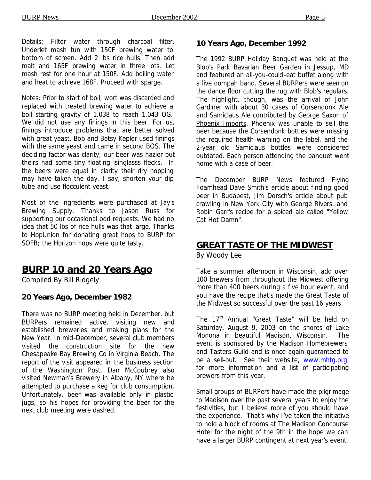Details: Filter water through charcoal filter. Underlet mash tun with 150F brewing water to bottom of screen. Add 2 lbs rice hulls. Then add malt and 165F brewing water in three lots. Let mash rest for one hour at 150F. Add boiling water and heat to achieve 168F. Proceed with sparge.

Notes: Prior to start of boil, wort was discarded and replaced with treated brewing water to achieve a boil starting gravity of 1.038 to reach 1.043 OG. We did not use any finings in this beer. For us, finings introduce problems that are better solved with great yeast. Bob and Betsy Kepler used finings with the same yeast and came in second BOS. The deciding factor was clarity; our beer was hazier but theirs had some tiny floating isinglasss flecks. If the beers were equal in clarity their dry hopping may have taken the day. I say, shorten your dip tube and use flocculent yeast.

Most of the ingredients were purchased at Jay's Brewing Supply. Thanks to Jason Russ for supporting our occasional odd requests. We had no idea that 50 lbs of rice hulls was that large. Thanks to HopUnion for donating great hops to BURP for SOFB; the Horizon hops were quite tasty.

# **BURP 10 and 20 Years Ago**

*Compiled By Bill Ridgely*

#### **20 Years Ago, December 1982**

There was no BURP meeting held in December, but BURPers remained active, visiting new and established breweries and making plans for the New Year. In mid-December, several club members visited the construction site for the new Chesapeake Bay Brewing Co in Virginia Beach. The report of the visit appeared in the business section of the Washington Post. Dan McCoubrey also visited Newman's Brewery in Albany, NY where he attempted to purchase a keg for club consumption. Unfortunately, beer was available only in plastic jugs, so his hopes for providing the beer for the next club meeting were dashed.

#### **10 Years Ago, December 1992**

The 1992 BURP Holiday Banquet was held at the Blob's Park Bavarian Beer Garden in Jessup, MD and featured an all-you-could-eat buffet along with a live oompah band. Several BURPers were seen on the dance floor cutting the rug with Blob's regulars. The highlight, though, was the arrival of John Gardiner with about 30 cases of Corsendonk Ale and Samiclaus Ale contributed by George Saxon of Phoenix Imports. Phoenix was unable to sell the beer because the Corsendonk bottles were missing the required health warning on the label, and the 2-year old Samiclaus bottles were considered outdated. Each person attending the banquet went home with a case of beer.

The December BURP News featured Flying Foamhead Dave Smith's article about finding good beer in Budapest, Jim Dorsch's article about pub crawling in New York City with George Rivers, and Robin Garr's recipe for a spiced ale called "Yellow Cat Hot Damn".

#### **GREAT TASTE OF THE MIDWEST**

*By Woody Lee*

Take a summer afternoon in Wisconsin, add over 100 brewers from throughout the Midwest offering more than 400 beers during a five hour event, and you have the recipe that's made the Great Taste of the Midwest so successful over the past 16 years.

The 17<sup>th</sup> Annual "Great Taste" will be held on Saturday, August 9, 2003 on the shores of Lake Monona in beautiful Madison, Wisconsin. The event is sponsored by the Madison Homebrewers and Tasters Guild and is once again guaranteed to be a sell-out. See their website, www.mhtg.org, for more information and a list of participating brewers from this year.

Small groups of BURPers have made the pilgrimage to Madison over the past several years to enjoy the festivities, but I believe more of you should have the experience. That's why I've taken the initiative to hold a block of rooms at The Madison Concourse Hotel for the night of the 9th in the hope we can have a larger BURP contingent at next year's event.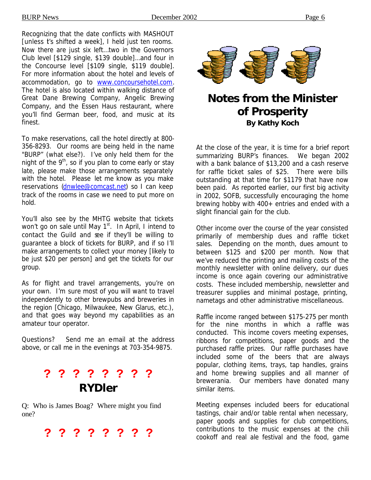Recognizing that the date conflicts with MASHOUT [unless t's shifted a week], I held just ten rooms. Now there are just six left…two in the Governors Club level [\$129 single, \$139 double]…and four in the Concourse level [\$109 single, \$119 double]. For more information about the hotel and levels of accommodation, go to www.concoursehotel.com. The hotel is also located within walking distance of Great Dane Brewing Company, Angelic Brewing Company, and the Essen Haus restaurant, where you'll find German beer, food, and music at its finest.

To make reservations, call the hotel directly at 800- 356-8293. Our rooms are being held in the name "BURP" (what else?). I've only held them for the night of the  $9<sup>th</sup>$ , so if you plan to come early or stay late, please make those arrangements separately with the hotel. Please let me know as you make reservations (dnwlee@comcast.net) so I can keep track of the rooms in case we need to put more on hold.

You'll also see by the MHTG website that tickets won't go on sale until May 1<sup>st</sup>. In April, I intend to contact the Guild and see if they'll be willing to guarantee a block of tickets for BURP, and if so I'll make arrangements to collect your money [likely to be just \$20 per person] and get the tickets for our group.

As for flight and travel arrangements, you're on your own. I'm sure most of you will want to travel independently to other brewpubs and breweries in the region [Chicago, Milwaukee, New Glarus, etc.), and that goes way beyond my capabilities as an amateur tour operator.

Questions? Send me an e-mail at the address above, or call me in the evenings at 703-354-9875.

# **? ? ? ? ? ? ? ?**  *RYDler*

Q: Who is James Boag? Where might you find one?

**? ? ? ? ? ? ? ?**



# **Notes from the Minister of Prosperity** *By Kathy Koch*

At the close of the year, it is time for a brief report summarizing BURP's finances. We began 2002 with a bank balance of \$13,200 and a cash reserve for raffle ticket sales of \$25. There were bills outstanding at that time for \$1179 that have now been paid. As reported earlier, our first big activity in 2002, SOFB, successfully encouraging the home brewing hobby with 400+ entries and ended with a slight financial gain for the club.

Other income over the course of the year consisted primarily of membership dues and raffle ticket sales. Depending on the month, dues amount to between \$125 and \$200 per month. Now that we've reduced the printing and mailing costs of the monthly newsletter with online delivery, our dues income is once again covering our administrative costs. These included membership, newsletter and treasurer supplies and minimal postage, printing, nametags and other administrative miscellaneous.

Raffle income ranged between \$175-275 per month for the nine months in which a raffle was conducted. This income covers meeting expenses, ribbons for competitions, paper goods and the purchased raffle prizes. Our raffle purchases have included some of the beers that are always popular, clothing items, trays, tap handles, grains and home brewing supplies and all manner of brewerania. Our members have donated many similar items.

Meeting expenses included beers for educational tastings, chair and/or table rental when necessary, paper goods and supplies for club competitions, contributions to the music expenses at the chili cookoff and real ale festival and the food, game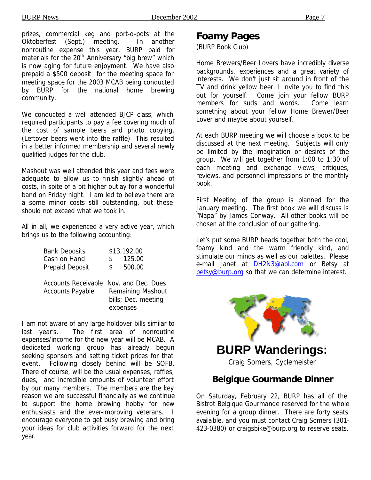prizes, commercial keg and port-o-pots at the Oktoberfest (Sept.) meeting. In another nonroutine expense this year, BURP paid for materials for the 20<sup>th</sup> Anniversary "big brew" which is now aging for future enjoyment. We have also prepaid a \$500 deposit for the meeting space for meeting space for the 2003 MCAB being conducted by BURP for the national home brewing community.

We conducted a well attended BJCP class, which required participants to pay a fee covering much of the cost of sample beers and photo copying. (Leftover beers went into the raffle) This resulted in a better informed membership and several newly qualified judges for the club.

Mashout was well attended this year and fees were adequate to allow us to finish slightly ahead of costs, in spite of a bit higher outlay for a wonderful band on Friday night. I am led to believe there are a some minor costs still outstanding, but these should not exceed what we took in.

All in all, we experienced a very active year, which brings us to the following accounting:

| <b>Bank Deposits</b> |     | \$13,192.00 |
|----------------------|-----|-------------|
| Cash on Hand         | S.  | 125.00      |
| Prepaid Deposit      | \$. | 500.00      |

Accounts Receivable Nov. and Dec. Dues Accounts Payable Remaining Mashout bills; Dec. meeting expenses

I am not aware of any large holdover bills similar to last year's. The first area of nonroutine expenses/income for the new year will be MCAB. A dedicated working group has already begun seeking sponsors and setting ticket prices for that event. Following closely behind will be SOFB. There of course, will be the usual expenses, raffles, dues, and incredible amounts of volunteer effort by our many members. The members are the key reason we are successful financially as we continue to support the home brewing hobby for new enthusiasts and the ever-improving veterans. I encourage everyone to get busy brewing and bring your ideas for club activities forward for the next year.

# **Foamy Pages**

(BURP Book Club)

Home Brewers/Beer Lovers have incredibly diverse backgrounds, experiences and a great variety of interests. We don't just sit around in front of the TV and drink yellow beer. I invite you to find this out for yourself. Come join your fellow BURP members for suds and words. Come learn something about your fellow Home Brewer/Beer Lover and maybe about yourself.

At each BURP meeting we will choose a book to be discussed at the next meeting. Subjects will only be limited by the imagination or desires of the group. We will get together from 1:00 to 1:30 of each meeting and exchange views, critiques, reviews, and personnel impressions of the monthly book.

First Meeting of the group is planned for the January meeting. The first book we will discuss is "Napa" by James Conway. All other books will be chosen at the conclusion of our gathering.

Let's put some BURP heads together both the cool, foamy kind and the warm friendly kind, and stimulate our minds as well as our palettes. Please e-mail Janet at DH2N3@aol.com or Betsy at betsy@burp.org so that we can determine interest.



**BURP Wanderings:**

*Craig Somers, Cyclemeister*

#### **Belgique Gourmande Dinner**

On Saturday, February 22, BURP has all of the Bistrot Belgique Gourmande reserved for the whole evening for a group dinner. There are forty seats available, and you must contact Craig Somers (301- 423-0380) or craigsbike@burp.org to reserve seats.